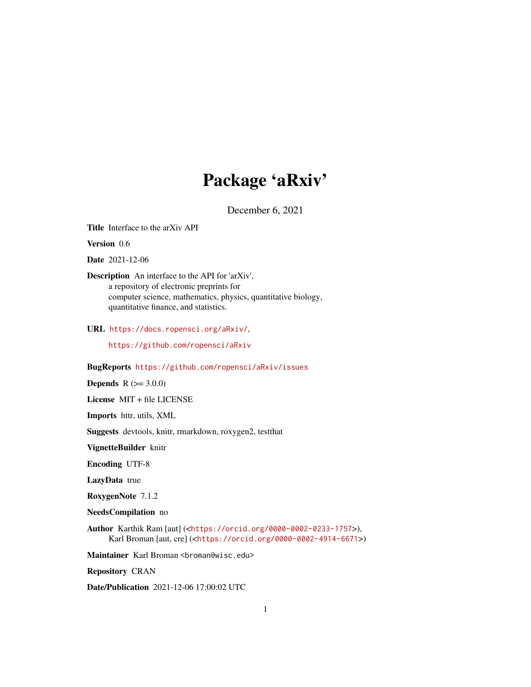## Package 'aRxiv'

December 6, 2021

<span id="page-0-0"></span>Title Interface to the arXiv API

Version 0.6

Date 2021-12-06

Description An interface to the API for 'arXiv', a repository of electronic preprints for computer science, mathematics, physics, quantitative biology, quantitative finance, and statistics.

URL <https://docs.ropensci.org/aRxiv/>,

<https://github.com/ropensci/aRxiv>

#### BugReports <https://github.com/ropensci/aRxiv/issues>

**Depends**  $R (= 3.0.0)$ 

License MIT + file LICENSE

Imports httr, utils, XML

Suggests devtools, knitr, rmarkdown, roxygen2, testthat

VignetteBuilder knitr

Encoding UTF-8

LazyData true

RoxygenNote 7.1.2

NeedsCompilation no

Author Karthik Ram [aut] (<<https://orcid.org/0000-0002-0233-1757>>), Karl Broman [aut, cre] (<<https://orcid.org/0000-0002-4914-6671>>)

Maintainer Karl Broman <br />
stroman@wisc.edu>

Repository CRAN

Date/Publication 2021-12-06 17:00:02 UTC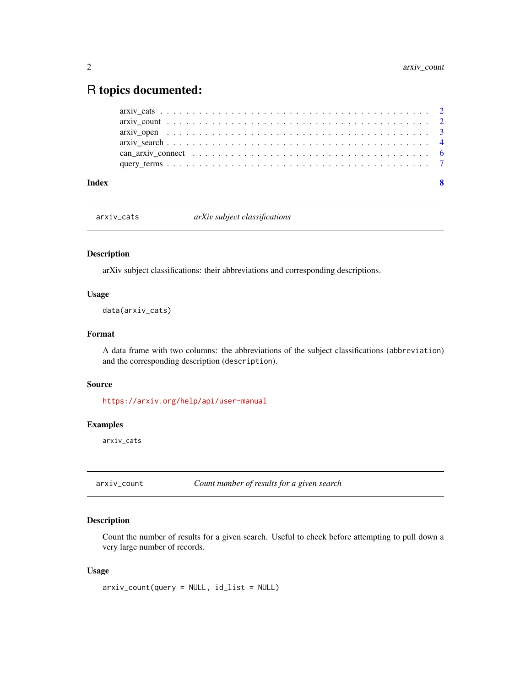### <span id="page-1-0"></span>R topics documented:

| Index |                                                                                                                          |  |
|-------|--------------------------------------------------------------------------------------------------------------------------|--|
|       |                                                                                                                          |  |
|       |                                                                                                                          |  |
|       |                                                                                                                          |  |
|       | arxiv open $\dots \dots \dots \dots \dots \dots \dots \dots \dots \dots \dots \dots \dots \dots \dots \dots \dots \dots$ |  |
|       |                                                                                                                          |  |
|       |                                                                                                                          |  |

<span id="page-1-1"></span>arxiv\_cats *arXiv subject classifications*

#### Description

arXiv subject classifications: their abbreviations and corresponding descriptions.

#### Usage

data(arxiv\_cats)

#### Format

A data frame with two columns: the abbreviations of the subject classifications (abbreviation) and the corresponding description (description).

#### Source

<https://arxiv.org/help/api/user-manual>

#### Examples

arxiv\_cats

<span id="page-1-2"></span>

arxiv\_count *Count number of results for a given search*

#### Description

Count the number of results for a given search. Useful to check before attempting to pull down a very large number of records.

#### Usage

arxiv\_count(query = NULL, id\_list = NULL)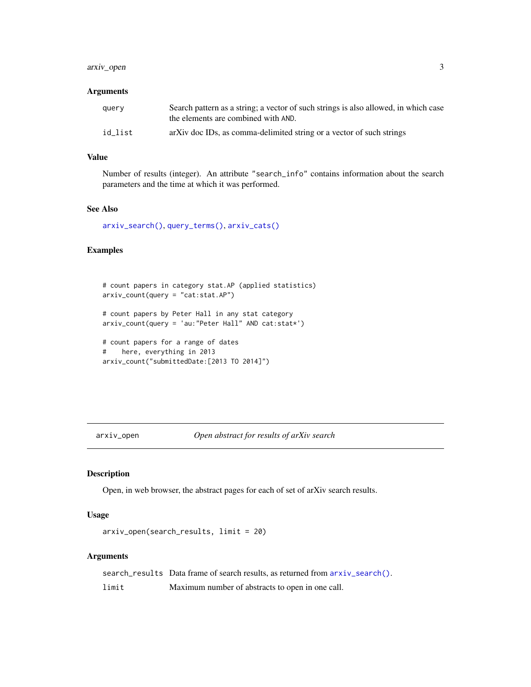#### <span id="page-2-0"></span>arxiv\_open 3

#### **Arguments**

| query   | Search pattern as a string; a vector of such strings is also allowed, in which case<br>the elements are combined with AND. |
|---------|----------------------------------------------------------------------------------------------------------------------------|
| id list | arXiv doc IDs, as comma-delimited string or a vector of such strings                                                       |

#### Value

Number of results (integer). An attribute "search\_info" contains information about the search parameters and the time at which it was performed.

#### See Also

[arxiv\\_search\(\)](#page-3-1), [query\\_terms\(\)](#page-6-1), [arxiv\\_cats\(\)](#page-1-1)

#### Examples

```
# count papers in category stat.AP (applied statistics)
arxiv_count(query = "cat:stat.AP")
# count papers by Peter Hall in any stat category
arxiv_count(query = 'au:"Peter Hall" AND cat:stat*')
# count papers for a range of dates
# here, everything in 2013
arxiv_count("submittedDate:[2013 TO 2014]")
```
#### <span id="page-2-1"></span>arxiv\_open *Open abstract for results of arXiv search*

#### Description

Open, in web browser, the abstract pages for each of set of arXiv search results.

#### Usage

```
arxiv_open(search_results, limit = 20)
```
#### Arguments

search\_results Data frame of search results, as returned from  $arxiv\_search()$ . limit Maximum number of abstracts to open in one call.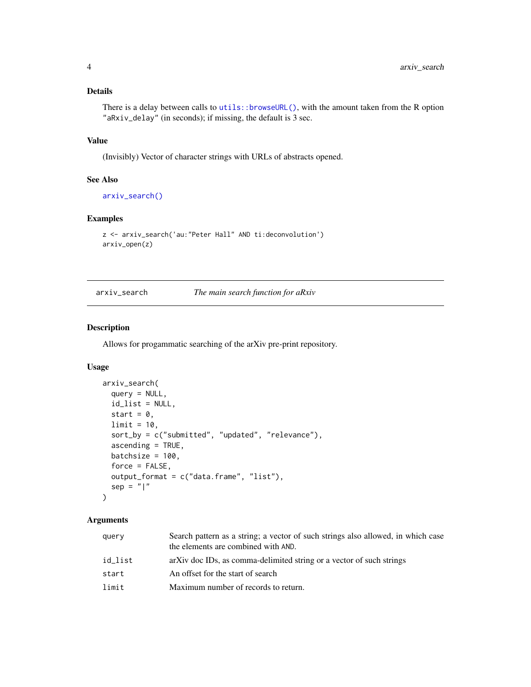#### <span id="page-3-0"></span>Details

There is a delay between calls to utils::browseURL $()$ , with the amount taken from the R option "aRxiv\_delay" (in seconds); if missing, the default is 3 sec.

#### Value

(Invisibly) Vector of character strings with URLs of abstracts opened.

#### See Also

[arxiv\\_search\(\)](#page-3-1)

#### Examples

```
z <- arxiv_search('au:"Peter Hall" AND ti:deconvolution')
arxiv_open(z)
```
<span id="page-3-1"></span>arxiv\_search *The main search function for aRxiv*

#### Description

Allows for progammatic searching of the arXiv pre-print repository.

#### Usage

```
arxiv_search(
  query = NULL,id_list = NULL,
  start = 0,
 limit = 10,
  sort_by = c("submitted", "updated", "relevance"),
  ascending = TRUE,
 batchsize = 100,
  force = FALSE,output_format = c("data.frame", "list"),
  sep = "|")
```
#### Arguments

| query   | Search pattern as a string; a vector of such strings also allowed, in which case<br>the elements are combined with AND. |
|---------|-------------------------------------------------------------------------------------------------------------------------|
| id list | arXiv doc IDs, as comma-delimited string or a vector of such strings                                                    |
| start   | An offset for the start of search                                                                                       |
| limit   | Maximum number of records to return.                                                                                    |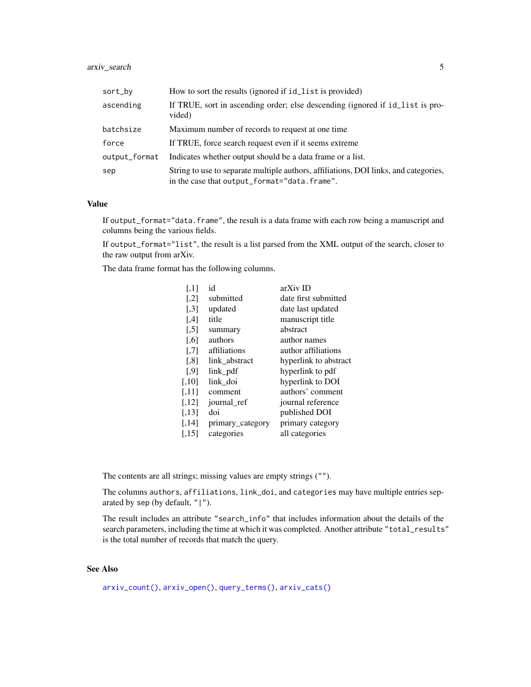#### <span id="page-4-0"></span>arxiv\_search 5

| sort_by       | How to sort the results (ignored if id_list is provided)                                                                             |
|---------------|--------------------------------------------------------------------------------------------------------------------------------------|
| ascending     | If TRUE, sort in ascending order; else descending (ignored if id_list is pro-<br>vided)                                              |
| batchsize     | Maximum number of records to request at one time.                                                                                    |
| force         | If TRUE, force search request even if it seems extreme                                                                               |
| output_format | Indicates whether output should be a data frame or a list.                                                                           |
| sep           | String to use to separate multiple authors, affiliations, DOI links, and categories,<br>in the case that output_format="data.frame". |

#### Value

If output\_format="data.frame", the result is a data frame with each row being a manuscript and columns being the various fields.

If output\_format="list", the result is a list parsed from the XML output of the search, closer to the raw output from arXiv.

The data frame format has the following columns.

| $\left\lceil .1 \right\rceil$ | id               | arXiv ID              |
|-------------------------------|------------------|-----------------------|
| $\left[ .2 \right]$           | submitted        | date first submitted  |
| $\left[ 3 \right]$            | updated          | date last updated     |
| [4]                           | title            | manuscript title      |
| $\left[ 5 \right]$            | summary          | abstract              |
| [.6]                          | authors          | author names          |
| $[$                           | affiliations     | author affiliations   |
| $\left[ .8 \right]$           | link abstract    | hyperlink to abstract |
| [.9]                          | link pdf         | hyperlink to pdf      |
| [.10]                         | link doi         | hyperlink to DOI      |
| $[,11]$                       | comment          | authors' comment      |
| $[,12]$                       | journal_ref      | journal reference     |
| [,13]                         | doi              | published DOI         |
| [,14]                         | primary_category | primary category      |
| [.15]                         | categories       | all categories        |

The contents are all strings; missing values are empty strings ("").

The columns authors, affiliations, link\_doi, and categories may have multiple entries separated by sep (by default,  $" | "$ ).

The result includes an attribute "search\_info" that includes information about the details of the search parameters, including the time at which it was completed. Another attribute "total\_results" is the total number of records that match the query.

#### See Also

[arxiv\\_count\(\)](#page-1-2), [arxiv\\_open\(\)](#page-2-1), [query\\_terms\(\)](#page-6-1), [arxiv\\_cats\(\)](#page-1-1)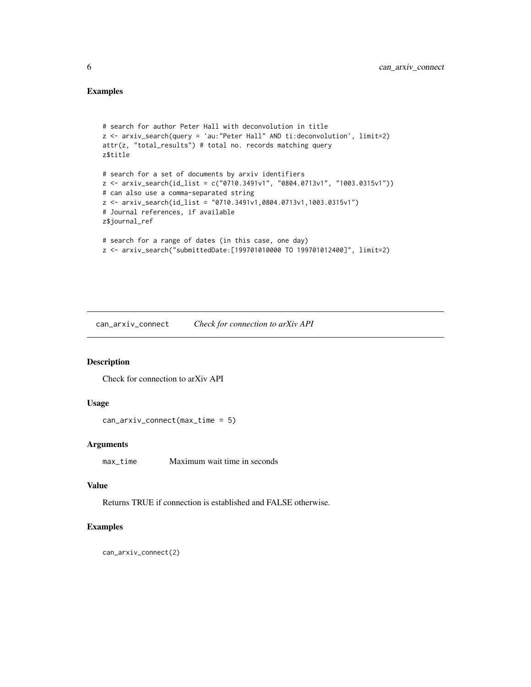#### <span id="page-5-0"></span>Examples

```
# search for author Peter Hall with deconvolution in title
z <- arxiv_search(query = 'au:"Peter Hall" AND ti:deconvolution', limit=2)
attr(z, "total_results") # total no. records matching query
z$title
# search for a set of documents by arxiv identifiers
z <- arxiv_search(id_list = c("0710.3491v1", "0804.0713v1", "1003.0315v1"))
# can also use a comma-separated string
z <- arxiv_search(id_list = "0710.3491v1,0804.0713v1,1003.0315v1")
# Journal references, if available
z$journal_ref
# search for a range of dates (in this case, one day)
z <- arxiv_search("submittedDate:[199701010000 TO 199701012400]", limit=2)
```
can\_arxiv\_connect *Check for connection to arXiv API*

#### Description

Check for connection to arXiv API

#### Usage

```
can_arxiv_connect(max_time = 5)
```
#### Arguments

max\_time Maximum wait time in seconds

#### Value

Returns TRUE if connection is established and FALSE otherwise.

#### Examples

can\_arxiv\_connect(2)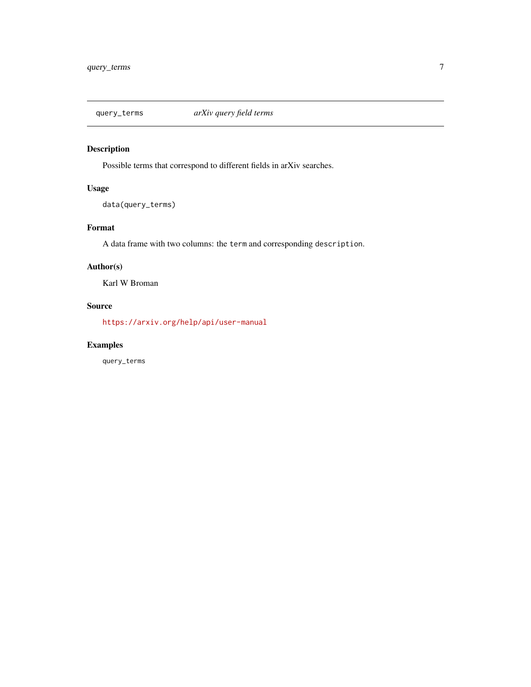<span id="page-6-1"></span><span id="page-6-0"></span>

#### Description

Possible terms that correspond to different fields in arXiv searches.

#### Usage

data(query\_terms)

#### Format

A data frame with two columns: the term and corresponding description.

#### Author(s)

Karl W Broman

#### Source

<https://arxiv.org/help/api/user-manual>

#### Examples

query\_terms